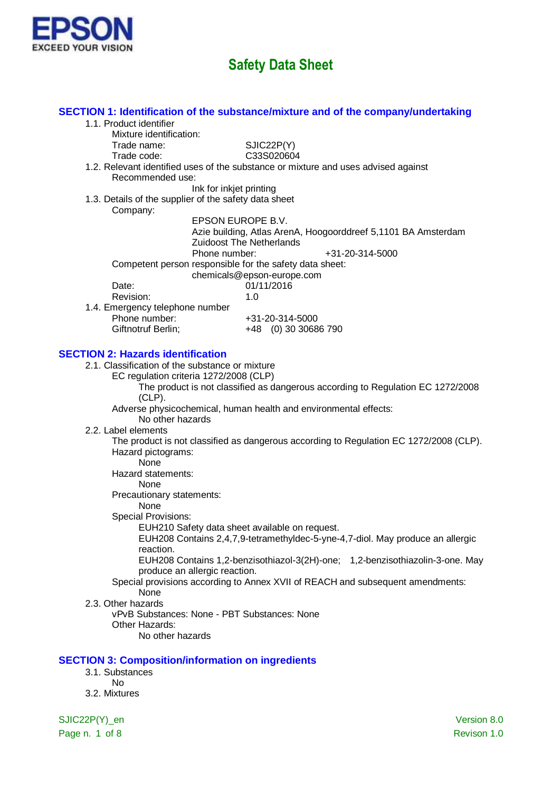

| 1.1. Product identifier                                                                     | SECTION 1: Identification of the substance/mixture and of the company/undertaking      |
|---------------------------------------------------------------------------------------------|----------------------------------------------------------------------------------------|
| Mixture identification:                                                                     |                                                                                        |
| Trade name:                                                                                 | SJIC22P(Y)                                                                             |
| Trade code:                                                                                 | C33S020604                                                                             |
|                                                                                             | 1.2. Relevant identified uses of the substance or mixture and uses advised against     |
| Recommended use:                                                                            |                                                                                        |
| Ink for inkjet printing                                                                     |                                                                                        |
| 1.3. Details of the supplier of the safety data sheet<br>Company:                           |                                                                                        |
| EPSON EUROPE B.V.                                                                           |                                                                                        |
|                                                                                             | Azie building, Atlas ArenA, Hoogoorddreef 5,1101 BA Amsterdam                          |
|                                                                                             | <b>Zuidoost The Netherlands</b>                                                        |
| Phone number:                                                                               | +31-20-314-5000                                                                        |
| Competent person responsible for the safety data sheet:                                     |                                                                                        |
| Date:                                                                                       | chemicals@epson-europe.com<br>01/11/2016                                               |
| Revision:                                                                                   | 1.0                                                                                    |
| 1.4. Emergency telephone number                                                             |                                                                                        |
| Phone number:                                                                               | +31-20-314-5000                                                                        |
| Giftnotruf Berlin;                                                                          | +48 (0) 30 30686 790                                                                   |
|                                                                                             |                                                                                        |
| <b>SECTION 2: Hazards identification</b><br>2.1. Classification of the substance or mixture |                                                                                        |
| EC regulation criteria 1272/2008 (CLP)                                                      |                                                                                        |
|                                                                                             | The product is not classified as dangerous according to Regulation EC 1272/2008        |
| $(CLP)$ .                                                                                   |                                                                                        |
|                                                                                             | Adverse physicochemical, human health and environmental effects:                       |
| No other hazards                                                                            |                                                                                        |
| 2.2. Label elements                                                                         | The product is not classified as dangerous according to Regulation EC 1272/2008 (CLP). |
| Hazard pictograms:                                                                          |                                                                                        |
| None                                                                                        |                                                                                        |
| Hazard statements:                                                                          |                                                                                        |
| None                                                                                        |                                                                                        |
| Precautionary statements:<br>None                                                           |                                                                                        |
| <b>Special Provisions:</b>                                                                  |                                                                                        |
| EUH210 Safety data sheet available on request.                                              |                                                                                        |
|                                                                                             | EUH208 Contains 2,4,7,9-tetramethyldec-5-yne-4,7-diol. May produce an allergic         |
| reaction.                                                                                   |                                                                                        |
|                                                                                             | EUH208 Contains 1,2-benzisothiazol-3(2H)-one; 1,2-benzisothiazolin-3-one. May          |
| produce an allergic reaction.                                                               | Special provisions according to Annex XVII of REACH and subsequent amendments:         |
| None                                                                                        |                                                                                        |
| 2.3. Other hazards                                                                          |                                                                                        |
| vPvB Substances: None - PBT Substances: None                                                |                                                                                        |
| Other Hazards:                                                                              |                                                                                        |
| No other hazards                                                                            |                                                                                        |
|                                                                                             |                                                                                        |
| <b>SECTION 3: Composition/information on ingredients</b><br>3.1. Substances                 |                                                                                        |
| <b>No</b>                                                                                   |                                                                                        |
| 3.2. Mixtures                                                                               |                                                                                        |
|                                                                                             |                                                                                        |
| SJIC22P(Y)_en                                                                               | Version 8.0                                                                            |

Page n. 1 of 8 Revison 1.0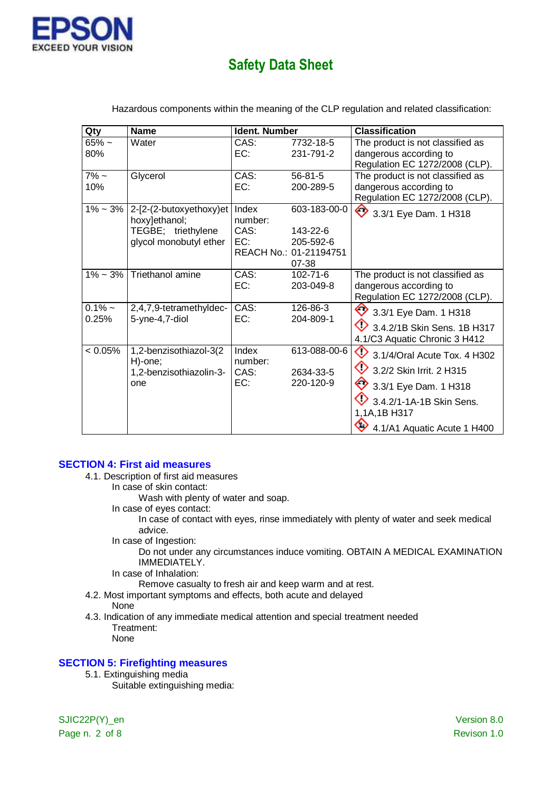

| Qty            | <b>Name</b>                              | Ident. Number    |                                 | <b>Classification</b>                                        |
|----------------|------------------------------------------|------------------|---------------------------------|--------------------------------------------------------------|
| $65%$ ~<br>80% | Water                                    | CAS:<br>EC:      | 7732-18-5<br>231-791-2          | The product is not classified as<br>dangerous according to   |
|                |                                          |                  |                                 | Regulation EC 1272/2008 (CLP).                               |
| $7\%$ ~<br>10% | Glycerol                                 | CAS:<br>EC:      | $56 - 81 - 5$<br>200-289-5      | The product is not classified as<br>dangerous according to   |
|                |                                          |                  |                                 | Regulation EC 1272/2008 (CLP).                               |
| $1\% - 3\%$    | 2-[2-(2-butoxyethoxy)et<br>hoxy]ethanol; | Index<br>number: | 603-183-00-0                    | 3.3/1 Eye Dam. 1 H318                                        |
|                | TEGBE; triethylene                       | CAS:             | 143-22-6                        |                                                              |
|                | glycol monobutyl ether                   | EC:              | 205-592-6                       |                                                              |
|                |                                          |                  | REACH No.: 01-21194751<br>07-38 |                                                              |
|                | $1\% \sim 3\%$ Triethanol amine          | CAS:             | $102 - 71 - 6$                  | The product is not classified as                             |
|                |                                          | EC:              | 203-049-8                       | dangerous according to<br>Regulation EC 1272/2008 (CLP).     |
| $0.1\%$ ~      | 2,4,7,9-tetramethyldec-                  | CAS:             | 126-86-3                        |                                                              |
| 0.25%          | 5-yne-4,7-diol                           | EC:              | 204-809-1                       | 3.3/1 Eye Dam. 1 H318                                        |
|                |                                          |                  |                                 | 3.4.2/1B Skin Sens. 1B H317<br>4.1/C3 Aquatic Chronic 3 H412 |
| $< 0.05\%$     | 1,2-benzisothiazol-3(2<br>H)-one;        | Index<br>number: | 613-088-00-6                    | $\textcircled{1}$ 3.1/4/Oral Acute Tox. 4 H302               |
|                | 1,2-benzisothiazolin-3-                  | CAS:             | 2634-33-5                       | ◇<br>3.2/2 Skin Irrit. 2 H315                                |
|                | one                                      | EC:              | 220-120-9                       | ◇<br>3.3/1 Eye Dam. 1 H318                                   |
|                |                                          |                  |                                 | 3.4.2/1-1A-1B Skin Sens.<br>1,1A,1B H317                     |
|                |                                          |                  |                                 | ♡<br>4.1/A1 Aquatic Acute 1 H400                             |

Hazardous components within the meaning of the CLP regulation and related classification:

#### **SECTION 4: First aid measures**

### 4.1. Description of first aid measures

In case of skin contact:

Wash with plenty of water and soap.

In case of eyes contact:

In case of contact with eyes, rinse immediately with plenty of water and seek medical advice.

In case of Ingestion:

Do not under any circumstances induce vomiting. OBTAIN A MEDICAL EXAMINATION IMMEDIATELY.

In case of Inhalation:

Remove casualty to fresh air and keep warm and at rest.

- 4.2. Most important symptoms and effects, both acute and delayed
- None

4.3. Indication of any immediate medical attention and special treatment needed Treatment: None

### **SECTION 5: Firefighting measures**

5.1. Extinguishing media

Suitable extinguishing media:

SJIC22P(Y)\_en Version 8.0 Page n. 2 of 8 Revison 1.0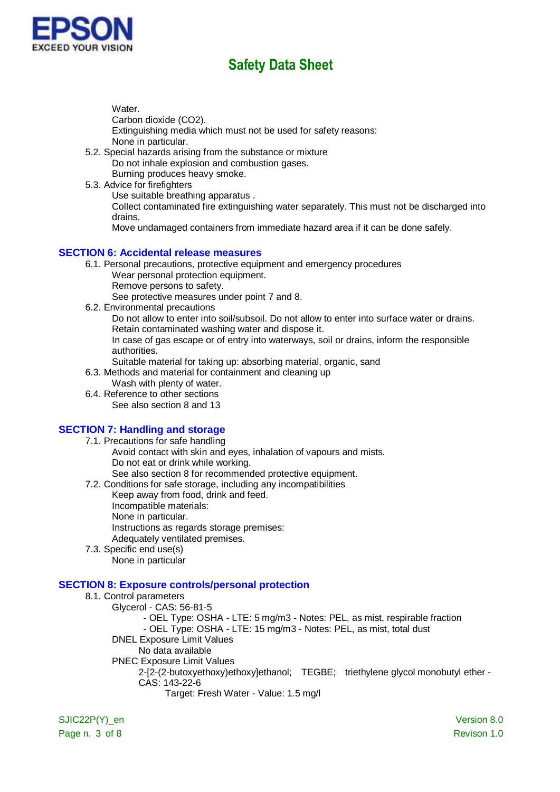

Water.

Carbon dioxide (CO2).

Extinguishing media which must not be used for safety reasons: None in particular.

- 5.2. Special hazards arising from the substance or mixture Do not inhale explosion and combustion gases. Burning produces heavy smoke.
- 5.3. Advice for firefighters

Use suitable breathing apparatus .

Collect contaminated fire extinguishing water separately. This must not be discharged into drains.

Move undamaged containers from immediate hazard area if it can be done safely.

#### **SECTION 6: Accidental release measures**

- 6.1. Personal precautions, protective equipment and emergency procedures
	- Wear personal protection equipment.
	- Remove persons to safety.

See protective measures under point 7 and 8.

6.2. Environmental precautions

Do not allow to enter into soil/subsoil. Do not allow to enter into surface water or drains. Retain contaminated washing water and dispose it.

In case of gas escape or of entry into waterways, soil or drains, inform the responsible authorities.

Suitable material for taking up: absorbing material, organic, sand

- 6.3. Methods and material for containment and cleaning up
	- Wash with plenty of water.
- 6.4. Reference to other sections See also section 8 and 13

## **SECTION 7: Handling and storage**

- 7.1. Precautions for safe handling Avoid contact with skin and eyes, inhalation of vapours and mists. Do not eat or drink while working. See also section 8 for recommended protective equipment.
- 7.2. Conditions for safe storage, including any incompatibilities
	- Keep away from food, drink and feed.
	- Incompatible materials:
	- None in particular.

Instructions as regards storage premises:

Adequately ventilated premises.

7.3. Specific end use(s) None in particular

## **SECTION 8: Exposure controls/personal protection**

8.1. Control parameters Glycerol - CAS: 56-81-5 - OEL Type: OSHA - LTE: 5 mg/m3 - Notes: PEL, as mist, respirable fraction - OEL Type: OSHA - LTE: 15 mg/m3 - Notes: PEL, as mist, total dust DNEL Exposure Limit Values No data available PNEC Exposure Limit Values 2-[2-(2-butoxyethoxy)ethoxy]ethanol; TEGBE; triethylene glycol monobutyl ether - CAS: 143-22-6 Target: Fresh Water - Value: 1.5 mg/l

SJIC22P(Y) en Version 8.0 Page n. 3 of 8 Revison 1.0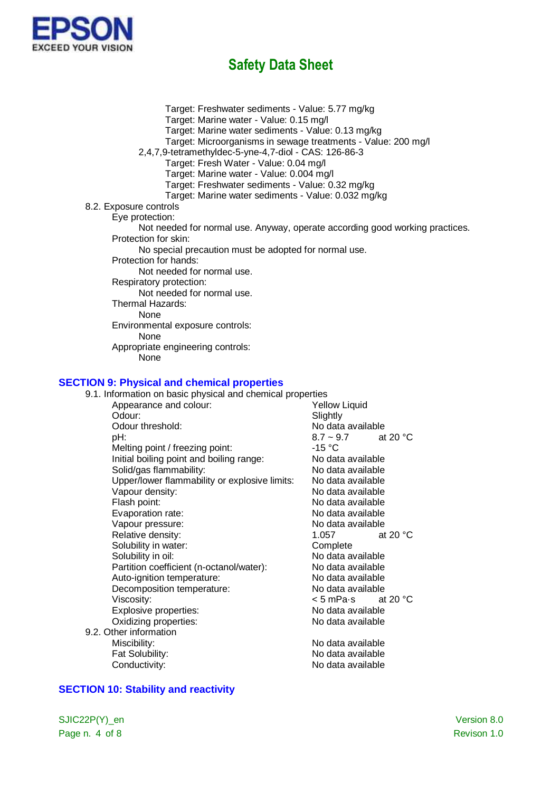

Target: Freshwater sediments - Value: 5.77 mg/kg Target: Marine water - Value: 0.15 mg/l Target: Marine water sediments - Value: 0.13 mg/kg Target: Microorganisms in sewage treatments - Value: 200 mg/l 2,4,7,9-tetramethyldec-5-yne-4,7-diol - CAS: 126-86-3 Target: Fresh Water - Value: 0.04 mg/l Target: Marine water - Value: 0.004 mg/l Target: Freshwater sediments - Value: 0.32 mg/kg Target: Marine water sediments - Value: 0.032 mg/kg 8.2. Exposure controls Eye protection: Not needed for normal use. Anyway, operate according good working practices. Protection for skin: No special precaution must be adopted for normal use. Protection for hands: Not needed for normal use. Respiratory protection: Not needed for normal use. Thermal Hazards: None Environmental exposure controls: None Appropriate engineering controls: None

#### **SECTION 9: Physical and chemical properties**

| 9.1. Information on basic physical and chemical properties |                              |
|------------------------------------------------------------|------------------------------|
| Appearance and colour:                                     | <b>Yellow Liquid</b>         |
| Odour:                                                     | Slightly                     |
| Odour threshold:                                           | No data available            |
| pH:                                                        | at 20 °C<br>$8.7 - 9.7$      |
| Melting point / freezing point:                            | -15 °C                       |
| Initial boiling point and boiling range:                   | No data available            |
| Solid/gas flammability:                                    | No data available            |
| Upper/lower flammability or explosive limits:              | No data available            |
| Vapour density:                                            | No data available            |
| Flash point:                                               | No data available            |
| Evaporation rate:                                          | No data available            |
| Vapour pressure:                                           | No data available            |
| Relative density:                                          | at 20 $\degree$ C<br>1.057   |
| Solubility in water:                                       | Complete                     |
| Solubility in oil:                                         | No data available            |
| Partition coefficient (n-octanol/water):                   | No data available            |
| Auto-ignition temperature:                                 | No data available            |
| Decomposition temperature:                                 | No data available            |
| Viscosity:                                                 | $< 5$ mPa $\cdot$ s at 20 °C |
| Explosive properties:                                      | No data available            |
| Oxidizing properties:                                      | No data available            |
| 9.2. Other information                                     |                              |
| Miscibility:                                               | No data available            |
| Fat Solubility:                                            | No data available            |
| Conductivity:                                              | No data available            |

#### **SECTION 10: Stability and reactivity**

SJIC22P(Y)\_en Version 8.0 Page n. 4 of 8 Revison 1.0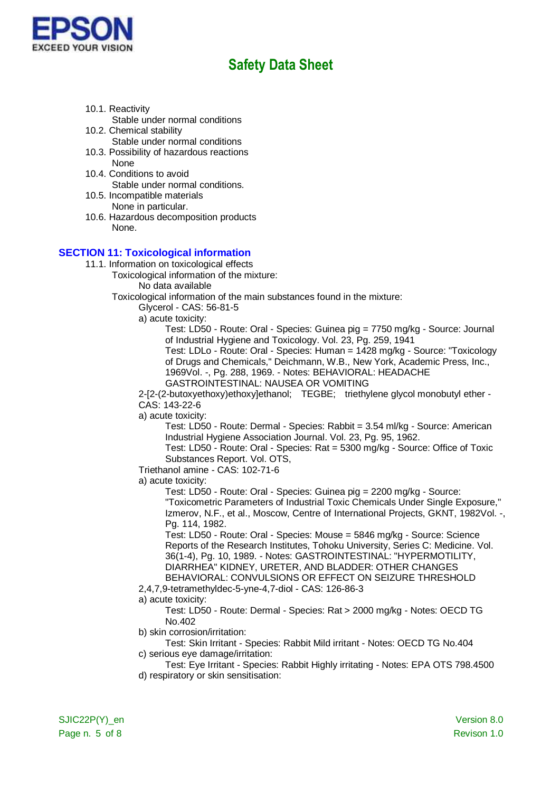

- 10.1. Reactivity Stable under normal conditions
- 10.2. Chemical stability Stable under normal conditions
- 10.3. Possibility of hazardous reactions **None**
- 10.4. Conditions to avoid Stable under normal conditions.
- 10.5. Incompatible materials None in particular.
- 10.6. Hazardous decomposition products None.

### **SECTION 11: Toxicological information**

- 11.1. Information on toxicological effects
	- Toxicological information of the mixture:
		- No data available

Toxicological information of the main substances found in the mixture:

- Glycerol CAS: 56-81-5
	- a) acute toxicity:

Test: LD50 - Route: Oral - Species: Guinea pig = 7750 mg/kg - Source: Journal of Industrial Hygiene and Toxicology. Vol. 23, Pg. 259, 1941 Test: LDLo - Route: Oral - Species: Human = 1428 mg/kg - Source: "Toxicology

of Drugs and Chemicals," Deichmann, W.B., New York, Academic Press, Inc., 1969Vol. -, Pg. 288, 1969. - Notes: BEHAVIORAL: HEADACHE GASTROINTESTINAL: NAUSEA OR VOMITING

2-[2-(2-butoxyethoxy)ethoxy]ethanol; TEGBE; triethylene glycol monobutyl ether - CAS: 143-22-6

a) acute toxicity:

Test: LD50 - Route: Dermal - Species: Rabbit = 3.54 ml/kg - Source: American Industrial Hygiene Association Journal. Vol. 23, Pg. 95, 1962.

Test: LD50 - Route: Oral - Species: Rat = 5300 mg/kg - Source: Office of Toxic Substances Report. Vol. OTS,

#### Triethanol amine - CAS: 102-71-6

a) acute toxicity:

Test: LD50 - Route: Oral - Species: Guinea pig = 2200 mg/kg - Source: "Toxicometric Parameters of Industrial Toxic Chemicals Under Single Exposure," Izmerov, N.F., et al., Moscow, Centre of International Projects, GKNT, 1982Vol. -, Pg. 114, 1982.

Test: LD50 - Route: Oral - Species: Mouse = 5846 mg/kg - Source: Science Reports of the Research Institutes, Tohoku University, Series C: Medicine. Vol. 36(1-4), Pg. 10, 1989. - Notes: GASTROINTESTINAL: "HYPERMOTILITY, DIARRHEA" KIDNEY, URETER, AND BLADDER: OTHER CHANGES BEHAVIORAL: CONVULSIONS OR EFFECT ON SEIZURE THRESHOLD

2,4,7,9-tetramethyldec-5-yne-4,7-diol - CAS: 126-86-3

#### a) acute toxicity:

Test: LD50 - Route: Dermal - Species: Rat > 2000 mg/kg - Notes: OECD TG No.402

b) skin corrosion/irritation:

Test: Skin Irritant - Species: Rabbit Mild irritant - Notes: OECD TG No.404 c) serious eye damage/irritation:

Test: Eye Irritant - Species: Rabbit Highly irritating - Notes: EPA OTS 798.4500 d) respiratory or skin sensitisation: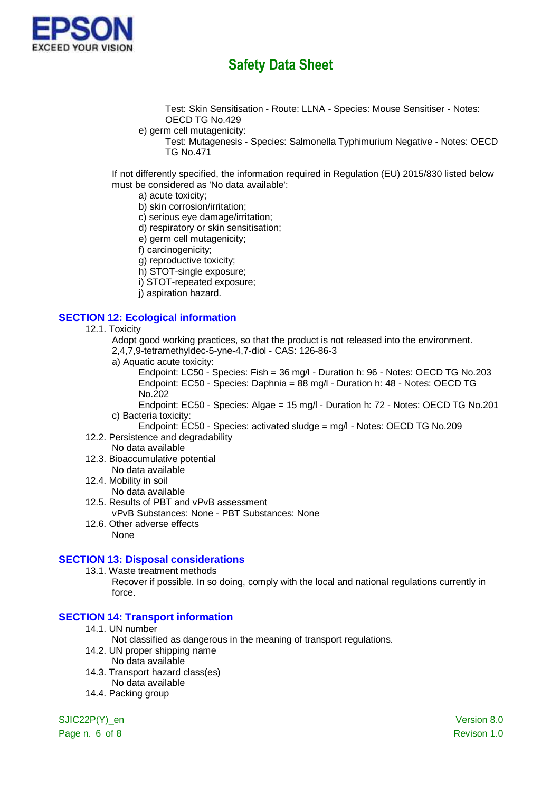

Test: Skin Sensitisation - Route: LLNA - Species: Mouse Sensitiser - Notes: OECD TG No.429

- e) germ cell mutagenicity:
	- Test: Mutagenesis Species: Salmonella Typhimurium Negative Notes: OECD TG No.471

If not differently specified, the information required in Regulation (EU) 2015/830 listed below must be considered as 'No data available':

- a) acute toxicity;
- b) skin corrosion/irritation;
- c) serious eye damage/irritation;
- d) respiratory or skin sensitisation;
- e) germ cell mutagenicity;
- f) carcinogenicity;
- g) reproductive toxicity;
- h) STOT-single exposure;
- i) STOT-repeated exposure;
- j) aspiration hazard.

## **SECTION 12: Ecological information**

- 12.1. Toxicity
	- Adopt good working practices, so that the product is not released into the environment.
	- 2,4,7,9-tetramethyldec-5-yne-4,7-diol CAS: 126-86-3
	- a) Aquatic acute toxicity:

Endpoint: LC50 - Species: Fish = 36 mg/l - Duration h: 96 - Notes: OECD TG No.203 Endpoint: EC50 - Species: Daphnia = 88 mg/l - Duration h: 48 - Notes: OECD TG No.202

Endpoint: EC50 - Species: Algae = 15 mg/l - Duration h: 72 - Notes: OECD TG No.201 c) Bacteria toxicity:

- Endpoint: EC50 Species: activated sludge = mg/l Notes: OECD TG No.209 12.2. Persistence and degradability
- No data available
- 12.3. Bioaccumulative potential
- No data available
- 12.4. Mobility in soil
- No data available
- 12.5. Results of PBT and vPvB assessment vPvB Substances: None - PBT Substances: None
- 12.6. Other adverse effects None

#### **SECTION 13: Disposal considerations**

13.1. Waste treatment methods

Recover if possible. In so doing, comply with the local and national regulations currently in force.

# **SECTION 14: Transport information**

- 14.1. UN number
	- Not classified as dangerous in the meaning of transport regulations.
- 14.2. UN proper shipping name
	- No data available
- 14.3. Transport hazard class(es)
	- No data available
- 14.4. Packing group

SJIC22P(Y) en Version 8.0

Page n. 6 of 8 Revison 1.0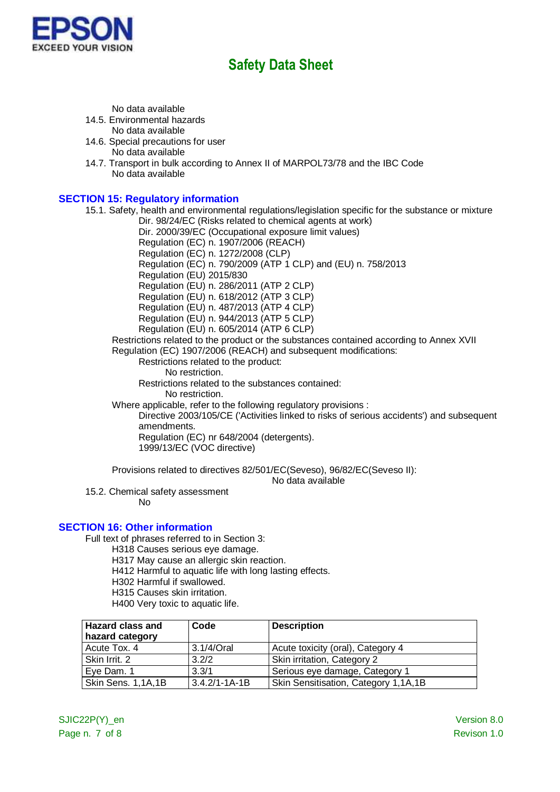

No data available

14.5. Environmental hazards

No data available

- 14.6. Special precautions for user No data available
- 14.7. Transport in bulk according to Annex II of MARPOL73/78 and the IBC Code No data available

## **SECTION 15: Regulatory information**

15.1. Safety, health and environmental regulations/legislation specific for the substance or mixture

Dir. 98/24/EC (Risks related to chemical agents at work)

Dir. 2000/39/EC (Occupational exposure limit values)

Regulation (EC) n. 1907/2006 (REACH)

Regulation (EC) n. 1272/2008 (CLP) Regulation (EC) n. 790/2009 (ATP 1 CLP) and (EU) n. 758/2013

Regulation (EU) 2015/830

Regulation (EU) n. 286/2011 (ATP 2 CLP)

Regulation (EU) n. 618/2012 (ATP 3 CLP)

Regulation (EU) n. 487/2013 (ATP 4 CLP)

Regulation (EU) n. 944/2013 (ATP 5 CLP)

Regulation (EU) n. 605/2014 (ATP 6 CLP)

Restrictions related to the product or the substances contained according to Annex XVII Regulation (EC) 1907/2006 (REACH) and subsequent modifications:

Restrictions related to the product:

No restriction.

Restrictions related to the substances contained:

No restriction.

Where applicable, refer to the following regulatory provisions :

Directive 2003/105/CE ('Activities linked to risks of serious accidents') and subsequent amendments.

Regulation (EC) nr 648/2004 (detergents). 1999/13/EC (VOC directive)

Provisions related to directives 82/501/EC(Seveso), 96/82/EC(Seveso II):

No data available

15.2. Chemical safety assessment

No

## **SECTION 16: Other information**

Full text of phrases referred to in Section 3:

- H318 Causes serious eye damage.
- H317 May cause an allergic skin reaction.
- H412 Harmful to aquatic life with long lasting effects.
- H302 Harmful if swallowed.
- H315 Causes skin irritation.
- H400 Very toxic to aquatic life.

| <b>Hazard class and</b><br>hazard category | Code                | <b>Description</b>                   |
|--------------------------------------------|---------------------|--------------------------------------|
| Acute Tox. 4                               | 3.1/4/Oral          | Acute toxicity (oral), Category 4    |
| Skin Irrit. 2                              | 3.2/2               | Skin irritation, Category 2          |
| Eye Dam. 1                                 | 3.3/1               | Serious eye damage, Category 1       |
| Skin Sens. 1,1A,1B                         | $3.4.2/1 - 1A - 1B$ | Skin Sensitisation, Category 1,1A,1B |